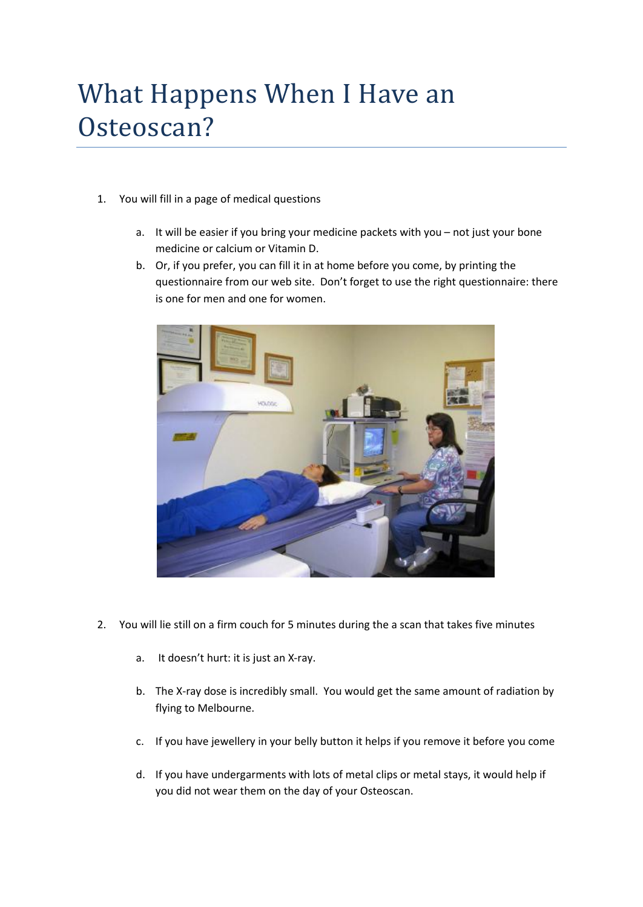## What Happens When I Have an Osteoscan?

- 1. You will fill in a page of medical questions
	- a. It will be easier if you bring your medicine packets with you not just your bone medicine or calcium or Vitamin D.
	- b. Or, if you prefer, you can fill it in at home before you come, by printing the questionnaire from our web site. Don't forget to use the right questionnaire: there is one for men and one for women.



- 2. You will lie still on a firm couch for 5 minutes during the a scan that takes five minutes
	- a. It doesn't hurt: it is just an X-ray.
	- b. The X-ray dose is incredibly small. You would get the same amount of radiation by flying to Melbourne.
	- c. If you have jewellery in your belly button it helps if you remove it before you come
	- d. If you have undergarments with lots of metal clips or metal stays, it would help if you did not wear them on the day of your Osteoscan.